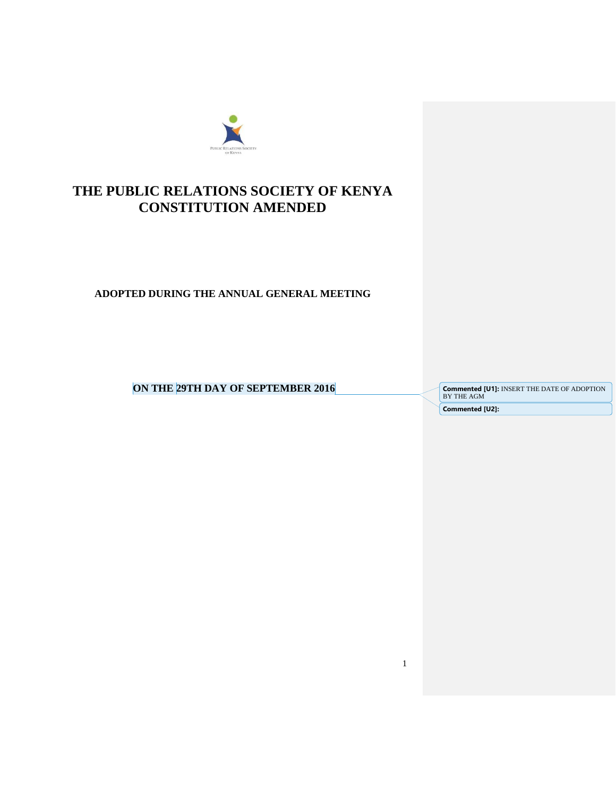

# **THE PUBLIC RELATIONS SOCIETY OF KENYA CONSTITUTION AMENDED**

**ADOPTED DURING THE ANNUAL GENERAL MEETING**

**ON THE 29TH DAY OF SEPTEMBER 2016** 

**Commented [U1]: INSERT THE DATE OF ADOPTION BY THE AGM Commented [U2]:** 

1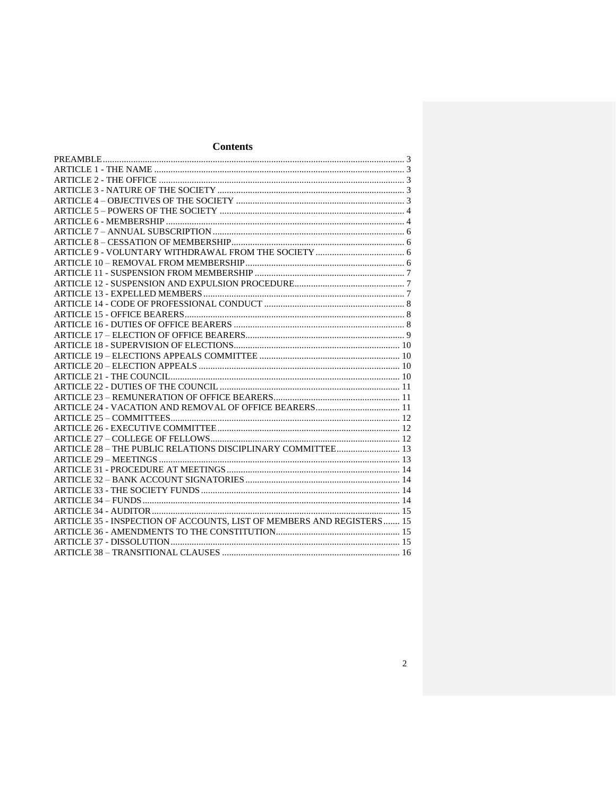## **Contents**

| ARTICLE 28 - THE PUBLIC RELATIONS DISCIPLINARY COMMITTEE 13            |  |
|------------------------------------------------------------------------|--|
|                                                                        |  |
|                                                                        |  |
|                                                                        |  |
|                                                                        |  |
|                                                                        |  |
|                                                                        |  |
| ARTICLE 35 - INSPECTION OF ACCOUNTS, LIST OF MEMBERS AND REGISTERS  15 |  |
|                                                                        |  |
|                                                                        |  |
|                                                                        |  |
|                                                                        |  |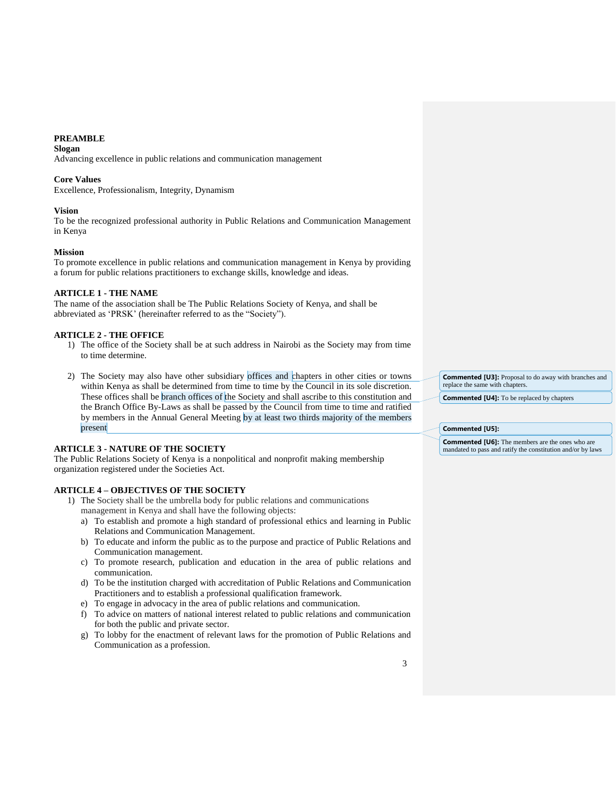## <span id="page-2-0"></span>**PREAMBLE**

**Slogan**

Advancing excellence in public relations and communication management

#### **Core Values**

Excellence, Professionalism, Integrity, Dynamism

#### **Vision**

To be the recognized professional authority in Public Relations and Communication Management in Kenya

#### **Mission**

To promote excellence in public relations and communication management in Kenya by providing a forum for public relations practitioners to exchange skills, knowledge and ideas.

#### <span id="page-2-1"></span>**ARTICLE 1 - THE NAME**

The name of the association shall be The Public Relations Society of Kenya, and shall be abbreviated as 'PRSK' (hereinafter referred to as the "Society").

#### <span id="page-2-2"></span>**ARTICLE 2 - THE OFFICE**

- 1) The office of the Society shall be at such address in Nairobi as the Society may from time to time determine.
- 2) The Society may also have other subsidiary offices and chapters in other cities or towns within Kenya as shall be determined from time to time by the Council in its sole discretion. These offices shall be branch offices of the Society and shall ascribe to this constitution and the Branch Office By-Laws as shall be passed by the Council from time to time and ratified by members in the Annual General Meeting by at least two thirds majority of the members present

## <span id="page-2-3"></span>**ARTICLE 3 - NATURE OF THE SOCIETY**

The Public Relations Society of Kenya is a nonpolitical and nonprofit making membership organization registered under the Societies Act.

## <span id="page-2-4"></span>**ARTICLE 4 – OBJECTIVES OF THE SOCIETY**

- 1) The Society shall be the umbrella body for public relations and communications management in Kenya and shall have the following objects:
	- a) To establish and promote a high standard of professional ethics and learning in Public Relations and Communication Management.
	- b) To educate and inform the public as to the purpose and practice of Public Relations and Communication management.
	- c) To promote research, publication and education in the area of public relations and communication.
	- d) To be the institution charged with accreditation of Public Relations and Communication Practitioners and to establish a professional qualification framework.
	- e) To engage in advocacy in the area of public relations and communication.
	- f) To advice on matters of national interest related to public relations and communication for both the public and private sector.
	- g) To lobby for the enactment of relevant laws for the promotion of Public Relations and Communication as a profession.

**Commented [U3]:** Proposal to do away with branches and replace the same with chapters.

**Commented [U4]:** To be replaced by chapters

#### **Commented [U5]:**

**Commented [U6]:** The members are the ones who are mandated to pass and ratify the constitution and/or by laws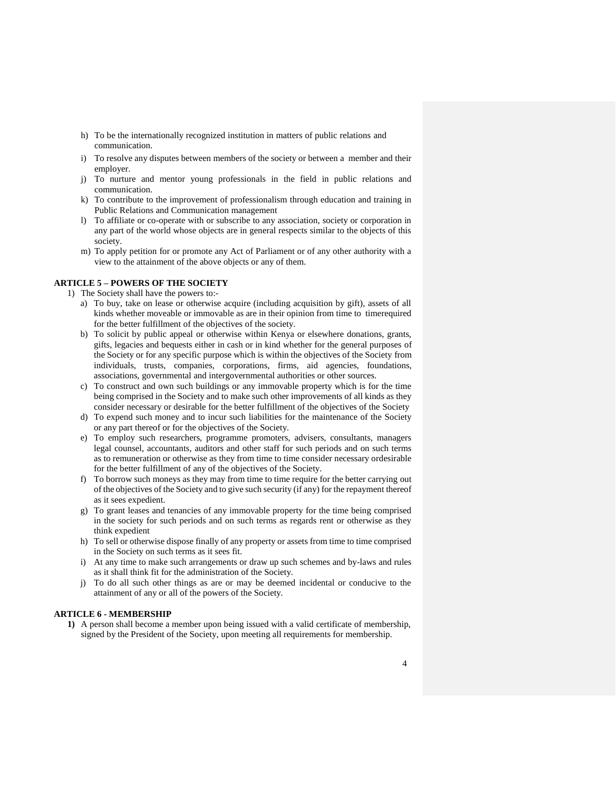- h) To be the internationally recognized institution in matters of public relations and communication.
- i) To resolve any disputes between members of the society or between a member and their employer.
- j) To nurture and mentor young professionals in the field in public relations and communication.
- k) To contribute to the improvement of professionalism through education and training in Public Relations and Communication management
- l) To affiliate or co-operate with or subscribe to any association, society or corporation in any part of the world whose objects are in general respects similar to the objects of this society.
- m) To apply petition for or promote any Act of Parliament or of any other authority with a view to the attainment of the above objects or any of them.

## <span id="page-3-0"></span>**ARTICLE 5 – POWERS OF THE SOCIETY**

- 1) The Society shall have the powers to:
	- a) To buy, take on lease or otherwise acquire (including acquisition by gift), assets of all kinds whether moveable or immovable as are in their opinion from time to timerequired for the better fulfillment of the objectives of the society.
	- b) To solicit by public appeal or otherwise within Kenya or elsewhere donations, grants, gifts, legacies and bequests either in cash or in kind whether for the general purposes of the Society or for any specific purpose which is within the objectives of the Society from individuals, trusts, companies, corporations, firms, aid agencies, foundations, associations, governmental and intergovernmental authorities or other sources.
	- c) To construct and own such buildings or any immovable property which is for the time being comprised in the Society and to make such other improvements of all kinds as they consider necessary or desirable for the better fulfillment of the objectives of the Society
	- d) To expend such money and to incur such liabilities for the maintenance of the Society or any part thereof or for the objectives of the Society.
	- e) To employ such researchers, programme promoters, advisers, consultants, managers legal counsel, accountants, auditors and other staff for such periods and on such terms as to remuneration or otherwise as they from time to time consider necessary ordesirable for the better fulfillment of any of the objectives of the Society.
	- f) To borrow such moneys as they may from time to time require for the better carrying out of the objectives of the Society and to give such security (if any) for the repayment thereof as it sees expedient.
	- g) To grant leases and tenancies of any immovable property for the time being comprised in the society for such periods and on such terms as regards rent or otherwise as they think expedient
	- h) To sell or otherwise dispose finally of any property or assets from time to time comprised in the Society on such terms as it sees fit.
	- i) At any time to make such arrangements or draw up such schemes and by-laws and rules as it shall think fit for the administration of the Society.
	- j) To do all such other things as are or may be deemed incidental or conducive to the attainment of any or all of the powers of the Society.

## <span id="page-3-1"></span>**ARTICLE 6 - MEMBERSHIP**

**1)** A person shall become a member upon being issued with a valid certificate of membership, signed by the President of the Society, upon meeting all requirements for membership.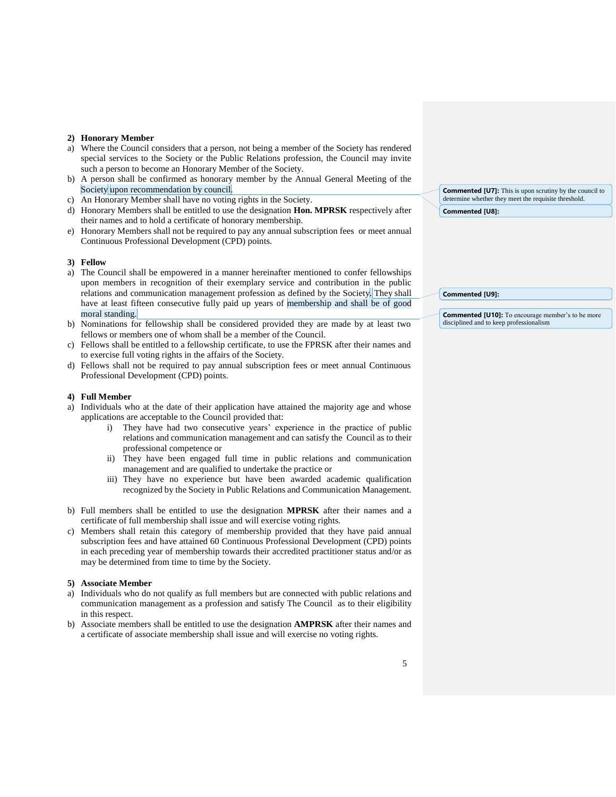#### **2) Honorary Member**

- a) Where the Council considers that a person, not being a member of the Society has rendered special services to the Society or the Public Relations profession, the Council may invite such a person to become an Honorary Member of the Society.
- b) A person shall be confirmed as honorary member by the Annual General Meeting of the Society upon recommendation by council.
- c) An Honorary Member shall have no voting rights in the Society.
- d) Honorary Members shall be entitled to use the designation **Hon. MPRSK** respectively after their names and to hold a certificate of honorary membership.
- e) Honorary Members shall not be required to pay any annual subscription fees or meet annual Continuous Professional Development (CPD) points.

#### **3) Fellow**

- a) The Council shall be empowered in a manner hereinafter mentioned to confer fellowships upon members in recognition of their exemplary service and contribution in the public relations and communication management profession as defined by the Society. They shall have at least fifteen consecutive fully paid up years of membership and shall be of good moral standing.
- b) Nominations for fellowship shall be considered provided they are made by at least two fellows or members one of whom shall be a member of the Council.
- c) Fellows shall be entitled to a fellowship certificate, to use the FPRSK after their names and to exercise full voting rights in the affairs of the Society.
- d) Fellows shall not be required to pay annual subscription fees or meet annual Continuous Professional Development (CPD) points.

#### **4) Full Member**

- a) Individuals who at the date of their application have attained the majority age and whose applications are acceptable to the Council provided that:
	- i) They have had two consecutive years' experience in the practice of public relations and communication management and can satisfy the Council as to their professional competence or
	- ii) They have been engaged full time in public relations and communication management and are qualified to undertake the practice or
	- iii) They have no experience but have been awarded academic qualification recognized by the Society in Public Relations and Communication Management.
- b) Full members shall be entitled to use the designation **MPRSK** after their names and a certificate of full membership shall issue and will exercise voting rights.
- c) Members shall retain this category of membership provided that they have paid annual subscription fees and have attained 60 Continuous Professional Development (CPD) points in each preceding year of membership towards their accredited practitioner status and/or as may be determined from time to time by the Society.

#### **5) Associate Member**

- a) Individuals who do not qualify as full members but are connected with public relations and communication management as a profession and satisfy The Council as to their eligibility in this respect.
- b) Associate members shall be entitled to use the designation **AMPRSK** after their names and a certificate of associate membership shall issue and will exercise no voting rights.

**Commented [U7]:** This is upon scrutiny by the council to determine whether they meet the requisite threshold. **Commented [U8]:** 

#### **Commented [U9]:**

**Commented [U10]:** To encourage member's to be more disciplined and to keep professionalism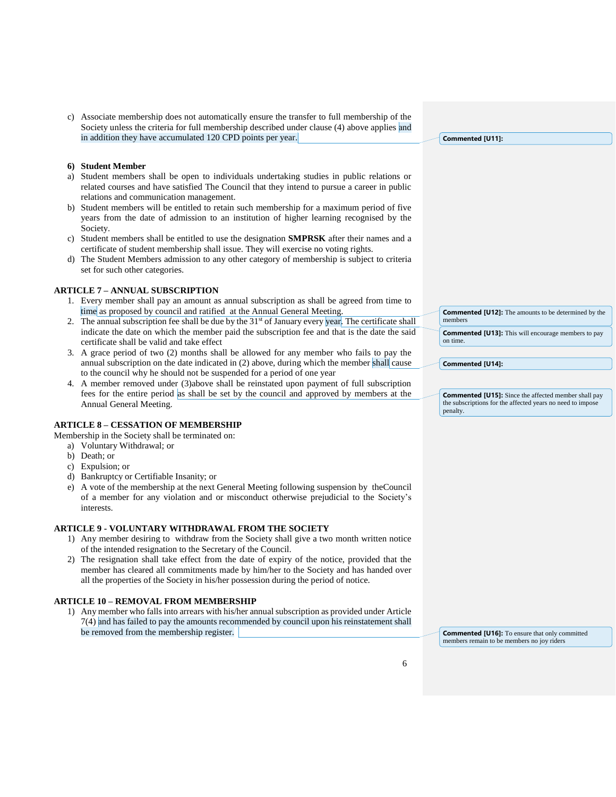c) Associate membership does not automatically ensure the transfer to full membership of the Society unless the criteria for full membership described under clause (4) above applies and in addition they have accumulated 120 CPD points per year.

#### **6) Student Member**

- a) Student members shall be open to individuals undertaking studies in public relations or related courses and have satisfied The Council that they intend to pursue a career in public relations and communication management.
- b) Student members will be entitled to retain such membership for a maximum period of five years from the date of admission to an institution of higher learning recognised by the Society.
- c) Student members shall be entitled to use the designation **SMPRSK** after their names and a certificate of student membership shall issue. They will exercise no voting rights.
- d) The Student Members admission to any other category of membership is subject to criteria set for such other categories.

## <span id="page-5-0"></span>**ARTICLE 7 – ANNUAL SUBSCRIPTION**

- 1. Every member shall pay an amount as annual subscription as shall be agreed from time to time as proposed by council and ratified at the Annual General Meeting.
- 2. The annual subscription fee shall be due by the  $31<sup>st</sup>$  of January every year. The certificate shall indicate the date on which the member paid the subscription fee and that is the date the said certificate shall be valid and take effect
- 3. A grace period of two (2) months shall be allowed for any member who fails to pay the annual subscription on the date indicated in (2) above, during which the member shall cause to the council why he should not be suspended for a period of one year
- 4. A member removed under (3)above shall be reinstated upon payment of full subscription fees for the entire period as shall be set by the council and approved by members at the Annual General Meeting.

#### <span id="page-5-1"></span>**ARTICLE 8 – CESSATION OF MEMBERSHIP**

Membership in the Society shall be terminated on:

- a) Voluntary Withdrawal; or
- b) Death; or
- c) Expulsion; or
- d) Bankruptcy or Certifiable Insanity; or
- e) A vote of the membership at the next General Meeting following suspension by theCouncil of a member for any violation and or misconduct otherwise prejudicial to the Society's interests.

#### <span id="page-5-2"></span>**ARTICLE 9 - VOLUNTARY WITHDRAWAL FROM THE SOCIETY**

- 1) Any member desiring to withdraw from the Society shall give a two month written notice of the intended resignation to the Secretary of the Council.
- 2) The resignation shall take effect from the date of expiry of the notice, provided that the member has cleared all commitments made by him/her to the Society and has handed over all the properties of the Society in his/her possession during the period of notice.

#### <span id="page-5-3"></span>**ARTICLE 10 – REMOVAL FROM MEMBERSHIP**

1) Any member who falls into arrears with his/her annual subscription as provided under Article 7(4) and has failed to pay the amounts recommended by council upon his reinstatement shall be removed from the membership register.

**Commented [U11]:** 

| members  | <b>Commented [U12]:</b> The amounts to be determined by the |
|----------|-------------------------------------------------------------|
| on time. | <b>Commented [U13]:</b> This will encourage members to pay  |

**Commented [U14]:** 

**Commented [U15]:** Since the affected member shall pay the subscriptions for the affected years no need to impo penalty.

**Commented [U16]:** To ensure that only committed members remain to be members no joy riders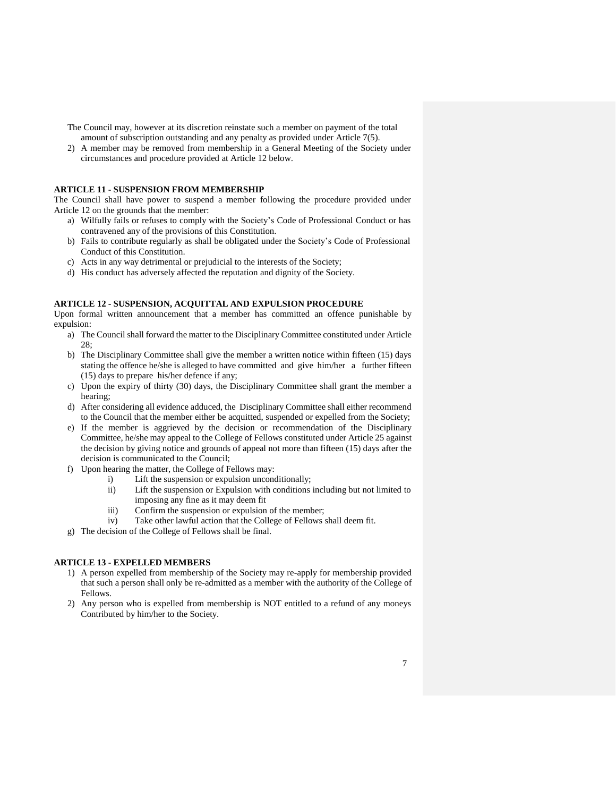The Council may, however at its discretion reinstate such a member on payment of the total amount of subscription outstanding and any penalty as provided under Article 7(5).

2) A member may be removed from membership in a General Meeting of the Society under circumstances and procedure provided at Article 12 below.

## <span id="page-6-0"></span>**ARTICLE 11 - SUSPENSION FROM MEMBERSHIP**

The Council shall have power to suspend a member following the procedure provided under Article 12 on the grounds that the member:

- a) Wilfully fails or refuses to comply with the Society's Code of Professional Conduct or has contravened any of the provisions of this Constitution.
- b) Fails to contribute regularly as shall be obligated under the Society's Code of Professional Conduct of this Constitution.
- c) Acts in any way detrimental or prejudicial to the interests of the Society;
- d) His conduct has adversely affected the reputation and dignity of the Society.

#### <span id="page-6-1"></span>**ARTICLE 12 - SUSPENSION, ACQUITTAL AND EXPULSION PROCEDURE**

Upon formal written announcement that a member has committed an offence punishable by expulsion:

- a) The Council shall forward the matter to the Disciplinary Committee constituted under Article 28;
- b) The Disciplinary Committee shall give the member a written notice within fifteen (15) days stating the offence he/she is alleged to have committed and give him/her a further fifteen (15) days to prepare his/her defence if any;
- c) Upon the expiry of thirty (30) days, the Disciplinary Committee shall grant the member a hearing;
- d) After considering all evidence adduced, the Disciplinary Committee shall either recommend to the Council that the member either be acquitted, suspended or expelled from the Society;
- e) If the member is aggrieved by the decision or recommendation of the Disciplinary Committee, he/she may appeal to the College of Fellows constituted under Article 25 against the decision by giving notice and grounds of appeal not more than fifteen (15) days after the decision is communicated to the Council;
- f) Upon hearing the matter, the College of Fellows may:
	- i) Lift the suspension or expulsion unconditionally;
	- ii) Lift the suspension or Expulsion with conditions including but not limited to imposing any fine as it may deem fit
	- iii) Confirm the suspension or expulsion of the member;
	- iv) Take other lawful action that the College of Fellows shall deem fit.
- g) The decision of the College of Fellows shall be final.

#### <span id="page-6-2"></span>**ARTICLE 13 - EXPELLED MEMBERS**

- 1) A person expelled from membership of the Society may re-apply for membership provided that such a person shall only be re-admitted as a member with the authority of the College of Fellows.
- 2) Any person who is expelled from membership is NOT entitled to a refund of any moneys Contributed by him/her to the Society.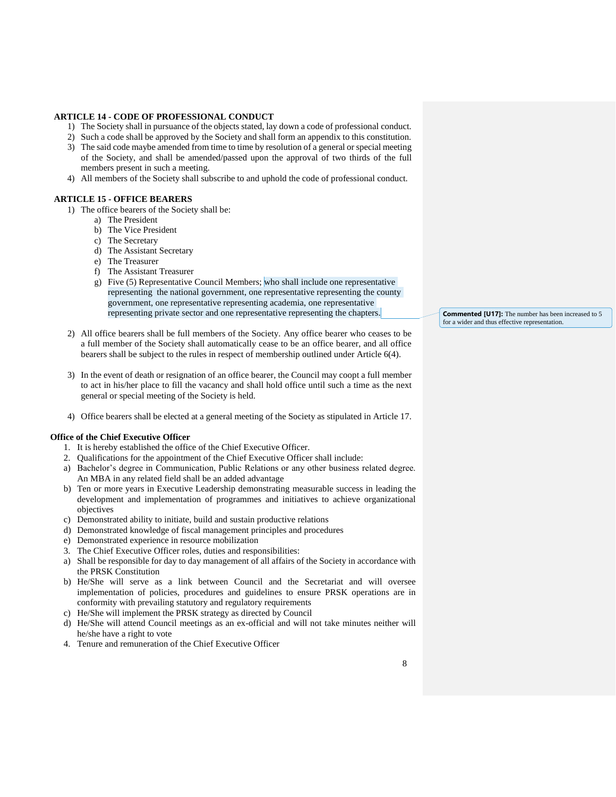## <span id="page-7-0"></span>**ARTICLE 14 - CODE OF PROFESSIONAL CONDUCT**

- 1) The Society shall in pursuance of the objects stated, lay down a code of professional conduct.
- 2) Such a code shall be approved by the Society and shall form an appendix to this constitution.
- 3) The said code maybe amended from time to time by resolution of a general or special meeting of the Society, and shall be amended/passed upon the approval of two thirds of the full members present in such a meeting.
- 4) All members of the Society shall subscribe to and uphold the code of professional conduct.

#### <span id="page-7-1"></span>**ARTICLE 15 - OFFICE BEARERS**

- 1) The office bearers of the Society shall be:
	- a) The President
	- b) The Vice President
	- c) The Secretary
	- d) The Assistant Secretary
	- e) The Treasurer
	- f) The Assistant Treasurer
	- g) Five (5) Representative Council Members; who shall include one representative representing the national government, one representative representing the county government, one representative representing academia, one representative representing private sector and one representative representing the chapters.
- 2) All office bearers shall be full members of the Society. Any office bearer who ceases to be a full member of the Society shall automatically cease to be an office bearer, and all office bearers shall be subject to the rules in respect of membership outlined under Article 6(4).
- 3) In the event of death or resignation of an office bearer, the Council may coopt a full member to act in his/her place to fill the vacancy and shall hold office until such a time as the next general or special meeting of the Society is held.
- 4) Office bearers shall be elected at a general meeting of the Society as stipulated in Article 17.

#### **Office of the Chief Executive Officer**

- 1. It is hereby established the office of the Chief Executive Officer.
- 2. Qualifications for the appointment of the Chief Executive Officer shall include:
- a) Bachelor's degree in Communication, Public Relations or any other business related degree. An MBA in any related field shall be an added advantage
- b) Ten or more years in Executive Leadership demonstrating measurable success in leading the development and implementation of programmes and initiatives to achieve organizational objectives
- c) Demonstrated ability to initiate, build and sustain productive relations
- d) Demonstrated knowledge of fiscal management principles and procedures
- e) Demonstrated experience in resource mobilization
- 3. The Chief Executive Officer roles, duties and responsibilities:
- a) Shall be responsible for day to day management of all affairs of the Society in accordance with the PRSK Constitution
- b) He/She will serve as a link between Council and the Secretariat and will oversee implementation of policies, procedures and guidelines to ensure PRSK operations are in conformity with prevailing statutory and regulatory requirements
- c) He/She will implement the PRSK strategy as directed by Council
- d) He/She will attend Council meetings as an ex-official and will not take minutes neither will he/she have a right to vote
- 4. Tenure and remuneration of the Chief Executive Officer

**Commented [U17]:** The number has been increased to 5 for a wider and thus effective representation.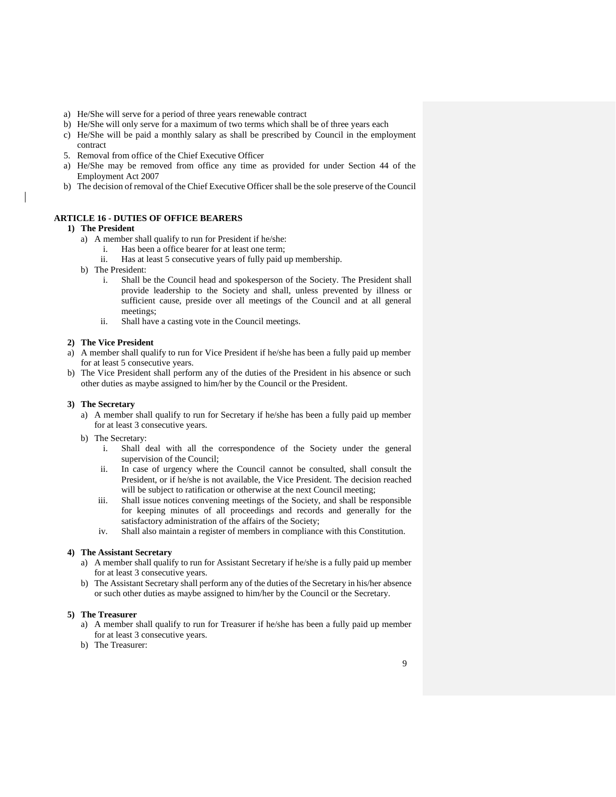- a) He/She will serve for a period of three years renewable contract
- b) He/She will only serve for a maximum of two terms which shall be of three years each
- c) He/She will be paid a monthly salary as shall be prescribed by Council in the employment contract
- 5. Removal from office of the Chief Executive Officer
- a) He/She may be removed from office any time as provided for under Section 44 of the Employment Act 2007
- b) The decision of removal of the Chief Executive Officer shall be the sole preserve of the Council

#### <span id="page-8-0"></span>**ARTICLE 16 - DUTIES OF OFFICE BEARERS**

#### **1) The President**

- a) A member shall qualify to run for President if he/she:
	- i. Has been a office bearer for at least one term;
	- ii. Has at least 5 consecutive years of fully paid up membership.
- b) The President:
	- i. Shall be the Council head and spokesperson of the Society. The President shall provide leadership to the Society and shall, unless prevented by illness or sufficient cause, preside over all meetings of the Council and at all general meetings;
	- ii. Shall have a casting vote in the Council meetings.

#### **2) The Vice President**

- a) A member shall qualify to run for Vice President if he/she has been a fully paid up member for at least 5 consecutive years.
- b) The Vice President shall perform any of the duties of the President in his absence or such other duties as maybe assigned to him/her by the Council or the President.

#### **3) The Secretary**

- a) A member shall qualify to run for Secretary if he/she has been a fully paid up member for at least 3 consecutive years.
- b) The Secretary:
	- i. Shall deal with all the correspondence of the Society under the general supervision of the Council;
	- ii. In case of urgency where the Council cannot be consulted, shall consult the President, or if he/she is not available, the Vice President. The decision reached will be subject to ratification or otherwise at the next Council meeting;
	- iii. Shall issue notices convening meetings of the Society, and shall be responsible for keeping minutes of all proceedings and records and generally for the satisfactory administration of the affairs of the Society;
	- iv. Shall also maintain a register of members in compliance with this Constitution.

## **4) The Assistant Secretary**

- a) A member shall qualify to run for Assistant Secretary if he/she is a fully paid up member for at least 3 consecutive years.
- b) The Assistant Secretary shall perform any of the duties of the Secretary in his/her absence or such other duties as maybe assigned to him/her by the Council or the Secretary.

#### **5) The Treasurer**

- a) A member shall qualify to run for Treasurer if he/she has been a fully paid up member for at least 3 consecutive years.
- b) The Treasurer: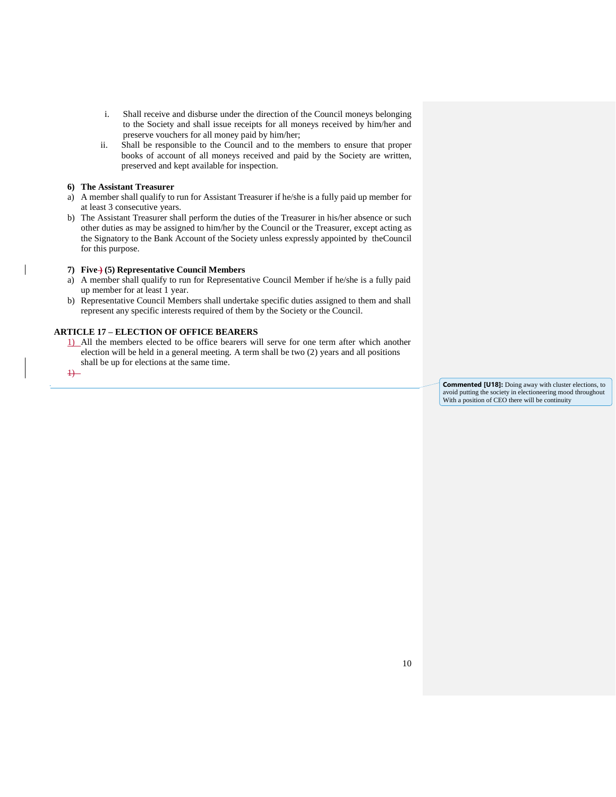- i. Shall receive and disburse under the direction of the Council moneys belonging to the Society and shall issue receipts for all moneys received by him/her and preserve vouchers for all money paid by him/her;
- ii. Shall be responsible to the Council and to the members to ensure that proper books of account of all moneys received and paid by the Society are written, preserved and kept available for inspection.

#### **6) The Assistant Treasurer**

- a) A member shall qualify to run for Assistant Treasurer if he/she is a fully paid up member for at least 3 consecutive years.
- b) The Assistant Treasurer shall perform the duties of the Treasurer in his/her absence or such other duties as may be assigned to him/her by the Council or the Treasurer, except acting as the Signatory to the Bank Account of the Society unless expressly appointed by theCouncil for this purpose.

## **7) Five ) (5) Representative Council Members**

- a) A member shall qualify to run for Representative Council Member if he/she is a fully paid up member for at least 1 year.
- b) Representative Council Members shall undertake specific duties assigned to them and shall represent any specific interests required of them by the Society or the Council.

## <span id="page-9-0"></span>**ARTICLE 17 – ELECTION OF OFFICE BEARERS**

1) All the members elected to be office bearers will serve for one term after which another election will be held in a general meeting. A term shall be two (2) years and all positions shall be up for elections at the same time.

 $\overline{1}$ 

**Commented [U18]:** Doing away with cluster elections, to avoid putting the society in electioneering mood throughout With a position of CEO there will be continuity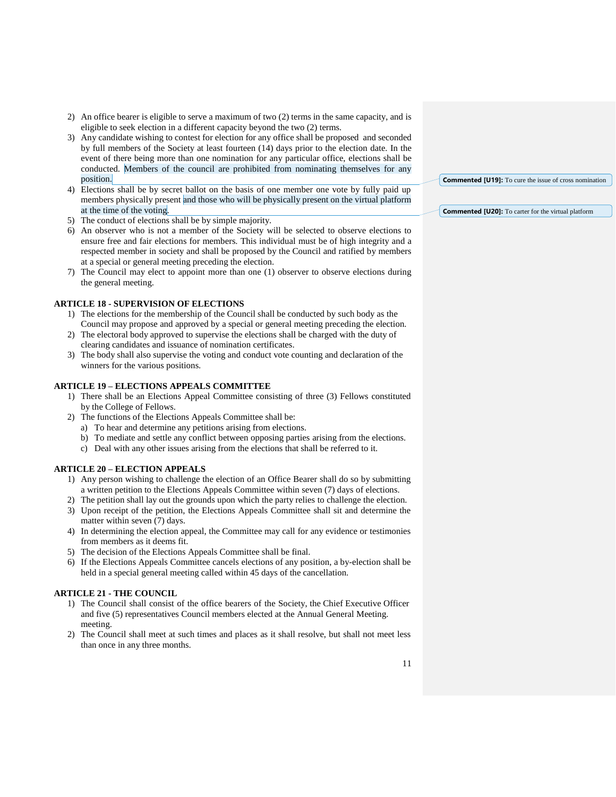- 2) An office bearer is eligible to serve a maximum of two (2) terms in the same capacity, and is eligible to seek election in a different capacity beyond the two (2) terms.
- 3) Any candidate wishing to contest for election for any office shall be proposed and seconded by full members of the Society at least fourteen (14) days prior to the election date. In the event of there being more than one nomination for any particular office, elections shall be conducted. Members of the council are prohibited from nominating themselves for any position.
- 4) Elections shall be by secret ballot on the basis of one member one vote by fully paid up members physically present and those who will be physically present on the virtual platform at the time of the voting.
- 5) The conduct of elections shall be by simple majority.
- 6) An observer who is not a member of the Society will be selected to observe elections to ensure free and fair elections for members. This individual must be of high integrity and a respected member in society and shall be proposed by the Council and ratified by members at a special or general meeting preceding the election.
- 7) The Council may elect to appoint more than one (1) observer to observe elections during the general meeting.

#### <span id="page-10-0"></span>**ARTICLE 18 - SUPERVISION OF ELECTIONS**

- 1) The elections for the membership of the Council shall be conducted by such body as the Council may propose and approved by a special or general meeting preceding the election.
- 2) The electoral body approved to supervise the elections shall be charged with the duty of clearing candidates and issuance of nomination certificates.
- 3) The body shall also supervise the voting and conduct vote counting and declaration of the winners for the various positions.

#### <span id="page-10-1"></span>**ARTICLE 19 – ELECTIONS APPEALS COMMITTEE**

- 1) There shall be an Elections Appeal Committee consisting of three (3) Fellows constituted by the College of Fellows.
- 2) The functions of the Elections Appeals Committee shall be:
	- a) To hear and determine any petitions arising from elections.
	- b) To mediate and settle any conflict between opposing parties arising from the elections.
	- c) Deal with any other issues arising from the elections that shall be referred to it.

## <span id="page-10-2"></span>**ARTICLE 20 – ELECTION APPEALS**

- 1) Any person wishing to challenge the election of an Office Bearer shall do so by submitting a written petition to the Elections Appeals Committee within seven (7) days of elections.
- 2) The petition shall lay out the grounds upon which the party relies to challenge the election.
- 3) Upon receipt of the petition, the Elections Appeals Committee shall sit and determine the matter within seven (7) days.
- 4) In determining the election appeal, the Committee may call for any evidence or testimonies from members as it deems fit.
- 5) The decision of the Elections Appeals Committee shall be final.
- 6) If the Elections Appeals Committee cancels elections of any position, a by-election shall be held in a special general meeting called within 45 days of the cancellation.

## <span id="page-10-3"></span>**ARTICLE 21 - THE COUNCIL**

- 1) The Council shall consist of the office bearers of the Society, the Chief Executive Officer and five (5) representatives Council members elected at the Annual General Meeting. meeting.
- 2) The Council shall meet at such times and places as it shall resolve, but shall not meet less than once in any three months.

**Commented [U19]:** To cure the issue of cross nomination

**Commented [U20]:** To carter for the virtual platform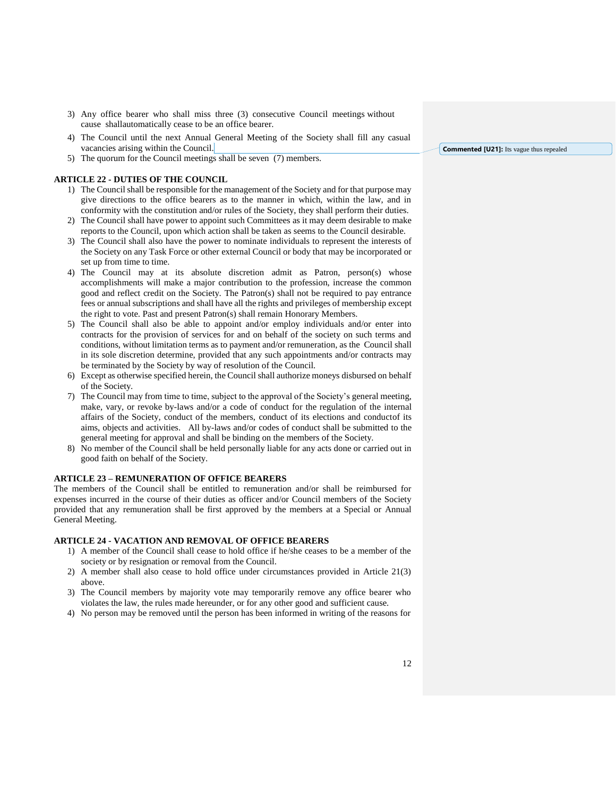- 3) Any office bearer who shall miss three (3) consecutive Council meetings without cause shallautomatically cease to be an office bearer.
- 4) The Council until the next Annual General Meeting of the Society shall fill any casual vacancies arising within the Council.
- 5) The quorum for the Council meetings shall be seven (7) members.

#### <span id="page-11-0"></span>**ARTICLE 22 - DUTIES OF THE COUNCIL**

- 1) The Council shall be responsible for the management of the Society and for that purpose may give directions to the office bearers as to the manner in which, within the law, and in conformity with the constitution and/or rules of the Society, they shall perform their duties.
- 2) The Council shall have power to appoint such Committees as it may deem desirable to make reports to the Council, upon which action shall be taken as seems to the Council desirable.
- 3) The Council shall also have the power to nominate individuals to represent the interests of the Society on any Task Force or other external Council or body that may be incorporated or set up from time to time.
- 4) The Council may at its absolute discretion admit as Patron, person(s) whose accomplishments will make a major contribution to the profession, increase the common good and reflect credit on the Society. The Patron(s) shall not be required to pay entrance fees or annual subscriptions and shall have all the rights and privileges of membership except the right to vote. Past and present Patron(s) shall remain Honorary Members.
- 5) The Council shall also be able to appoint and/or employ individuals and/or enter into contracts for the provision of services for and on behalf of the society on such terms and conditions, without limitation terms as to payment and/or remuneration, as the Council shall in its sole discretion determine, provided that any such appointments and/or contracts may be terminated by the Society by way of resolution of the Council.
- 6) Except as otherwise specified herein, the Council shall authorize moneys disbursed on behalf of the Society.
- 7) The Council may from time to time, subject to the approval of the Society's general meeting, make, vary, or revoke by-laws and/or a code of conduct for the regulation of the internal affairs of the Society, conduct of the members, conduct of its elections and conductof its aims, objects and activities. All by-laws and/or codes of conduct shall be submitted to the general meeting for approval and shall be binding on the members of the Society.
- 8) No member of the Council shall be held personally liable for any acts done or carried out in good faith on behalf of the Society.

#### <span id="page-11-1"></span>**ARTICLE 23 – REMUNERATION OF OFFICE BEARERS**

The members of the Council shall be entitled to remuneration and/or shall be reimbursed for expenses incurred in the course of their duties as officer and/or Council members of the Society provided that any remuneration shall be first approved by the members at a Special or Annual General Meeting.

#### <span id="page-11-2"></span>**ARTICLE 24 - VACATION AND REMOVAL OF OFFICE BEARERS**

- 1) A member of the Council shall cease to hold office if he/she ceases to be a member of the society or by resignation or removal from the Council.
- 2) A member shall also cease to hold office under circumstances provided in Article 21(3) above.
- 3) The Council members by majority vote may temporarily remove any office bearer who violates the law, the rules made hereunder, or for any other good and sufficient cause.
- 4) No person may be removed until the person has been informed in writing of the reasons for

**Commented [U21]:** Its vague thus repealed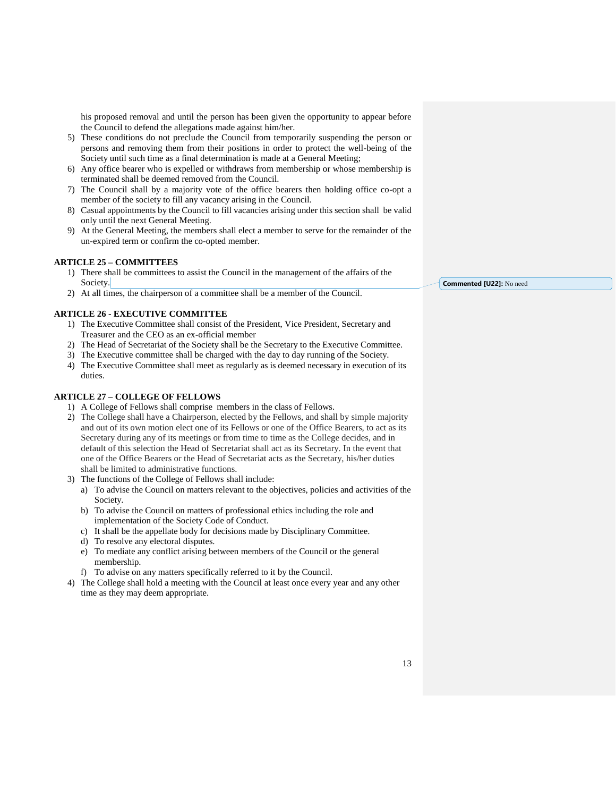his proposed removal and until the person has been given the opportunity to appear before the Council to defend the allegations made against him/her.

- 5) These conditions do not preclude the Council from temporarily suspending the person or persons and removing them from their positions in order to protect the well-being of the Society until such time as a final determination is made at a General Meeting;
- 6) Any office bearer who is expelled or withdraws from membership or whose membership is terminated shall be deemed removed from the Council.
- 7) The Council shall by a majority vote of the office bearers then holding office co-opt a member of the society to fill any vacancy arising in the Council.
- 8) Casual appointments by the Council to fill vacancies arising under this section shall be valid only until the next General Meeting.
- 9) At the General Meeting, the members shall elect a member to serve for the remainder of the un-expired term or confirm the co-opted member.

## <span id="page-12-0"></span>**ARTICLE 25 – COMMITTEES**

- 1) There shall be committees to assist the Council in the management of the affairs of the Society.
- 2) At all times, the chairperson of a committee shall be a member of the Council.

## <span id="page-12-1"></span>**ARTICLE 26 - EXECUTIVE COMMITTEE**

- 1) The Executive Committee shall consist of the President, Vice President, Secretary and Treasurer and the CEO as an ex-official member
- 2) The Head of Secretariat of the Society shall be the Secretary to the Executive Committee.
- 3) The Executive committee shall be charged with the day to day running of the Society.
- 4) The Executive Committee shall meet as regularly as is deemed necessary in execution of its duties.

## <span id="page-12-2"></span>**ARTICLE 27 – COLLEGE OF FELLOWS**

- 1) A College of Fellows shall comprise members in the class of Fellows.
- 2) The College shall have a Chairperson, elected by the Fellows, and shall by simple majority and out of its own motion elect one of its Fellows or one of the Office Bearers, to act as its Secretary during any of its meetings or from time to time as the College decides, and in default of this selection the Head of Secretariat shall act as its Secretary. In the event that one of the Office Bearers or the Head of Secretariat acts as the Secretary, his/her duties shall be limited to administrative functions.
- 3) The functions of the College of Fellows shall include:
	- a) To advise the Council on matters relevant to the objectives, policies and activities of the Society.
	- b) To advise the Council on matters of professional ethics including the role and implementation of the Society Code of Conduct.
	- c) It shall be the appellate body for decisions made by Disciplinary Committee.
	- d) To resolve any electoral disputes.
	- e) To mediate any conflict arising between members of the Council or the general membership.
	- f) To advise on any matters specifically referred to it by the Council.
- 4) The College shall hold a meeting with the Council at least once every year and any other time as they may deem appropriate.

**Commented [U22]:** No need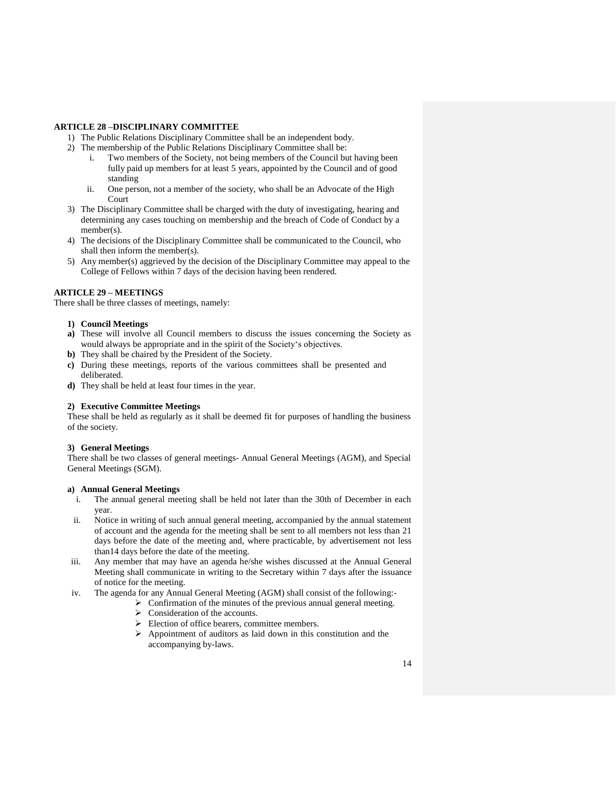#### <span id="page-13-0"></span>**ARTICLE 28 –DISCIPLINARY COMMITTEE**

- 1) The Public Relations Disciplinary Committee shall be an independent body.
- 2) The membership of the Public Relations Disciplinary Committee shall be:
	- i. Two members of the Society, not being members of the Council but having been fully paid up members for at least 5 years, appointed by the Council and of good standing
	- ii. One person, not a member of the society, who shall be an Advocate of the High Court
- 3) The Disciplinary Committee shall be charged with the duty of investigating, hearing and determining any cases touching on membership and the breach of Code of Conduct by a member(s).
- 4) The decisions of the Disciplinary Committee shall be communicated to the Council, who shall then inform the member(s).
- 5) Any member(s) aggrieved by the decision of the Disciplinary Committee may appeal to the College of Fellows within 7 days of the decision having been rendered.

## <span id="page-13-1"></span>**ARTICLE 29 – MEETINGS**

There shall be three classes of meetings, namely:

#### **1) Council Meetings**

- **a)** These will involve all Council members to discuss the issues concerning the Society as would always be appropriate and in the spirit of the Society's objectives.
- **b)** They shall be chaired by the President of the Society.
- **c)** During these meetings, reports of the various committees shall be presented and deliberated.
- **d)** They shall be held at least four times in the year.

#### **2) Executive Committee Meetings**

These shall be held as regularly as it shall be deemed fit for purposes of handling the business of the society.

#### **3) General Meetings**

There shall be two classes of general meetings- Annual General Meetings (AGM), and Special General Meetings (SGM).

#### **a) Annual General Meetings**

- i. The annual general meeting shall be held not later than the 30th of December in each year.
- ii. Notice in writing of such annual general meeting, accompanied by the annual statement of account and the agenda for the meeting shall be sent to all members not less than 21 days before the date of the meeting and, where practicable, by advertisement not less than14 days before the date of the meeting.
- iii. Any member that may have an agenda he/she wishes discussed at the Annual General Meeting shall communicate in writing to the Secretary within 7 days after the issuance of notice for the meeting.
- iv. The agenda for any Annual General Meeting (AGM) shall consist of the following:-
	- $\triangleright$  Confirmation of the minutes of the previous annual general meeting.
	- > Consideration of the accounts.
	- $\triangleright$  Election of office bearers, committee members.
	- $\triangleright$  Appointment of auditors as laid down in this constitution and the accompanying by-laws.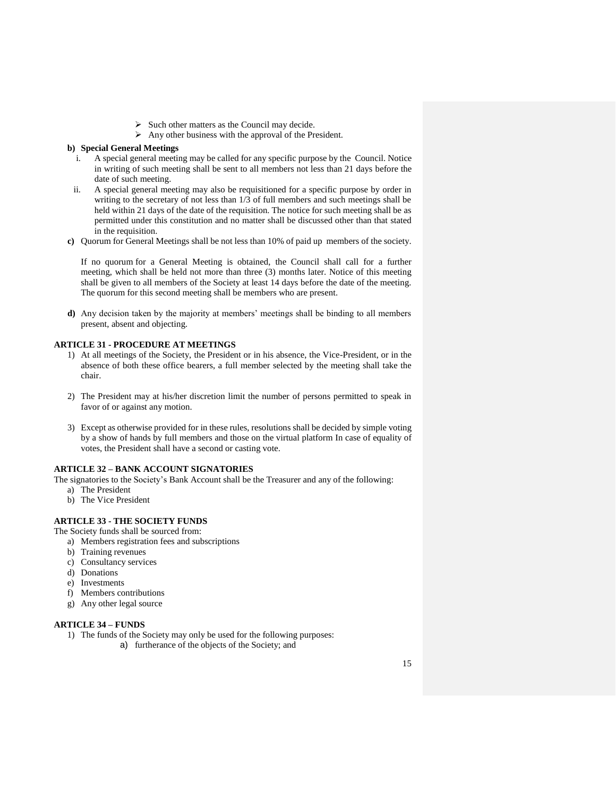- $\triangleright$  Such other matters as the Council may decide.
- $\triangleright$  Any other business with the approval of the President.

#### **b) Special General Meetings**

- i. A special general meeting may be called for any specific purpose by the Council. Notice in writing of such meeting shall be sent to all members not less than 21 days before the date of such meeting.
- ii. A special general meeting may also be requisitioned for a specific purpose by order in writing to the secretary of not less than 1/3 of full members and such meetings shall be held within 21 days of the date of the requisition. The notice for such meeting shall be as permitted under this constitution and no matter shall be discussed other than that stated in the requisition.
- **c)** Quorum for General Meetings shall be not less than 10% of paid up members of the society.

If no quorum for a General Meeting is obtained, the Council shall call for a further meeting, which shall be held not more than three (3) months later. Notice of this meeting shall be given to all members of the Society at least 14 days before the date of the meeting. The quorum for this second meeting shall be members who are present.

**d)** Any decision taken by the majority at members' meetings shall be binding to all members present, absent and objecting.

#### <span id="page-14-0"></span>**ARTICLE 31 - PROCEDURE AT MEETINGS**

- 1) At all meetings of the Society, the President or in his absence, the Vice-President, or in the absence of both these office bearers, a full member selected by the meeting shall take the chair.
- 2) The President may at his/her discretion limit the number of persons permitted to speak in favor of or against any motion.
- 3) Except as otherwise provided for in these rules, resolutions shall be decided by simple voting by a show of hands by full members and those on the virtual platform In case of equality of votes, the President shall have a second or casting vote.

#### <span id="page-14-1"></span>**ARTICLE 32 – BANK ACCOUNT SIGNATORIES**

The signatories to the Society's Bank Account shall be the Treasurer and any of the following:

- a) The President
- b) The Vice President

#### <span id="page-14-2"></span>**ARTICLE 33 - THE SOCIETY FUNDS**

The Society funds shall be sourced from:

- a) Members registration fees and subscriptions
- b) Training revenues
- c) Consultancy services
- d) Donations
- e) Investments
- f) Members contributions
- g) Any other legal source

## <span id="page-14-3"></span>**ARTICLE 34 – FUNDS**

- 1) The funds of the Society may only be used for the following purposes:
	- a) furtherance of the objects of the Society; and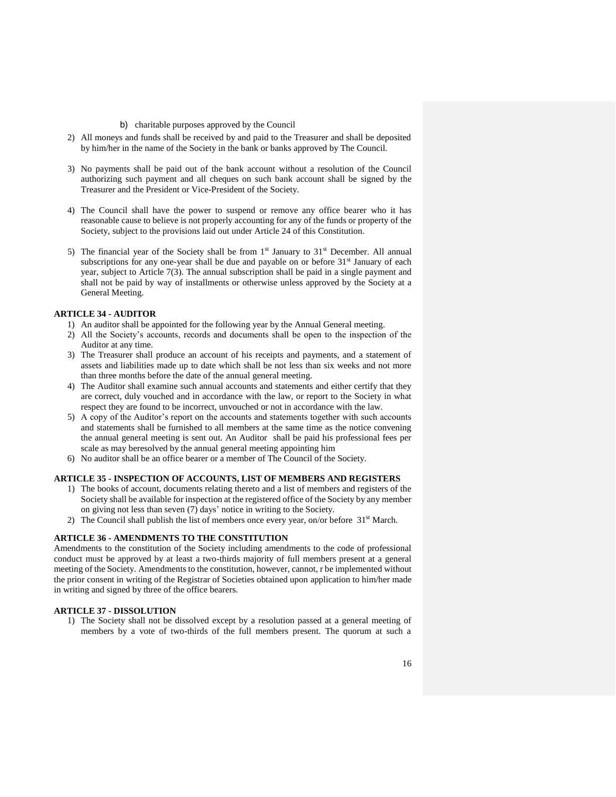#### b) charitable purposes approved by the Council

- 2) All moneys and funds shall be received by and paid to the Treasurer and shall be deposited by him/her in the name of the Society in the bank or banks approved by The Council.
- 3) No payments shall be paid out of the bank account without a resolution of the Council authorizing such payment and all cheques on such bank account shall be signed by the Treasurer and the President or Vice-President of the Society.
- 4) The Council shall have the power to suspend or remove any office bearer who it has reasonable cause to believe is not properly accounting for any of the funds or property of the Society, subject to the provisions laid out under Article 24 of this Constitution.
- 5) The financial year of the Society shall be from  $1<sup>st</sup>$  January to  $31<sup>st</sup>$  December. All annual subscriptions for any one-year shall be due and payable on or before  $31<sup>st</sup>$  January of each year, subject to Article 7(3). The annual subscription shall be paid in a single payment and shall not be paid by way of installments or otherwise unless approved by the Society at a General Meeting.

#### <span id="page-15-0"></span>**ARTICLE 34 - AUDITOR**

- 1) An auditor shall be appointed for the following year by the Annual General meeting.
- 2) All the Society's accounts, records and documents shall be open to the inspection of the Auditor at any time.
- 3) The Treasurer shall produce an account of his receipts and payments, and a statement of assets and liabilities made up to date which shall be not less than six weeks and not more than three months before the date of the annual general meeting.
- 4) The Auditor shall examine such annual accounts and statements and either certify that they are correct, duly vouched and in accordance with the law, or report to the Society in what respect they are found to be incorrect, unvouched or not in accordance with the law.
- 5) A copy of the Auditor's report on the accounts and statements together with such accounts and statements shall be furnished to all members at the same time as the notice convening the annual general meeting is sent out. An Auditor shall be paid his professional fees per scale as may beresolved by the annual general meeting appointing him
- 6) No auditor shall be an office bearer or a member of The Council of the Society.

#### <span id="page-15-1"></span>**ARTICLE 35 - INSPECTION OF ACCOUNTS, LIST OF MEMBERS AND REGISTERS**

- 1) The books of account, documents relating thereto and a list of members and registers of the Society shall be available for inspection at the registered office of the Society by any member on giving not less than seven (7) days' notice in writing to the Society.
- 2) The Council shall publish the list of members once every year, on/or before  $31<sup>st</sup>$  March.

#### <span id="page-15-2"></span>**ARTICLE 36 - AMENDMENTS TO THE CONSTITUTION**

Amendments to the constitution of the Society including amendments to the code of professional conduct must be approved by at least a two-thirds majority of full members present at a general meeting of the Society. Amendments to the constitution, however, cannot, r be implemented without the prior consent in writing of the Registrar of Societies obtained upon application to him/her made in writing and signed by three of the office bearers.

#### <span id="page-15-3"></span>**ARTICLE 37 - DISSOLUTION**

1) The Society shall not be dissolved except by a resolution passed at a general meeting of members by a vote of two-thirds of the full members present. The quorum at such a